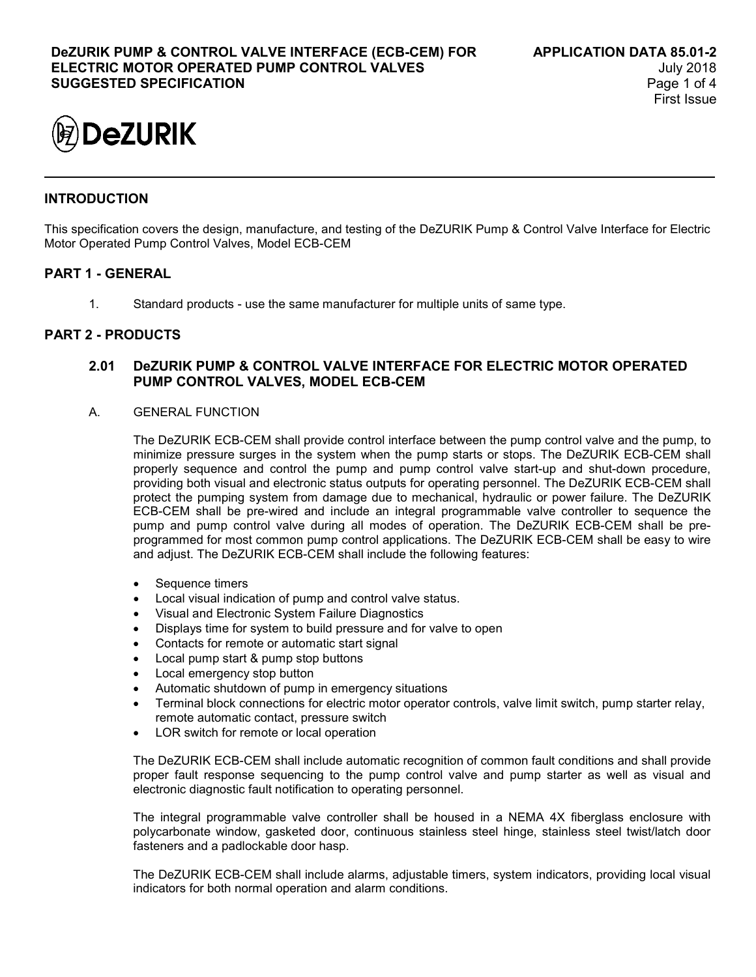

# **INTRODUCTION**

This specification covers the design, manufacture, and testing of the DeZURIK Pump & Control Valve Interface for Electric Motor Operated Pump Control Valves, Model ECB-CEM

# **PART 1 - GENERAL**

1. Standard products - use the same manufacturer for multiple units of same type.

### **PART 2 - PRODUCTS**

## **2.01 DeZURIK PUMP & CONTROL VALVE INTERFACE FOR ELECTRIC MOTOR OPERATED PUMP CONTROL VALVES, MODEL ECB-CEM**

A. GENERAL FUNCTION

The DeZURIK ECB-CEM shall provide control interface between the pump control valve and the pump, to minimize pressure surges in the system when the pump starts or stops. The DeZURIK ECB-CEM shall properly sequence and control the pump and pump control valve start-up and shut-down procedure, providing both visual and electronic status outputs for operating personnel. The DeZURIK ECB-CEM shall protect the pumping system from damage due to mechanical, hydraulic or power failure. The DeZURIK ECB-CEM shall be pre-wired and include an integral programmable valve controller to sequence the pump and pump control valve during all modes of operation. The DeZURIK ECB-CEM shall be preprogrammed for most common pump control applications. The DeZURIK ECB-CEM shall be easy to wire and adjust. The DeZURIK ECB-CEM shall include the following features:

- Sequence timers
- Local visual indication of pump and control valve status.
- Visual and Electronic System Failure Diagnostics
- Displays time for system to build pressure and for valve to open
- Contacts for remote or automatic start signal
- Local pump start & pump stop buttons
- Local emergency stop button
- Automatic shutdown of pump in emergency situations
- Terminal block connections for electric motor operator controls, valve limit switch, pump starter relay, remote automatic contact, pressure switch
- LOR switch for remote or local operation

The DeZURIK ECB-CEM shall include automatic recognition of common fault conditions and shall provide proper fault response sequencing to the pump control valve and pump starter as well as visual and electronic diagnostic fault notification to operating personnel.

The integral programmable valve controller shall be housed in a NEMA 4X fiberglass enclosure with polycarbonate window, gasketed door, continuous stainless steel hinge, stainless steel twist/latch door fasteners and a padlockable door hasp.

The DeZURIK ECB-CEM shall include alarms, adjustable timers, system indicators, providing local visual indicators for both normal operation and alarm conditions.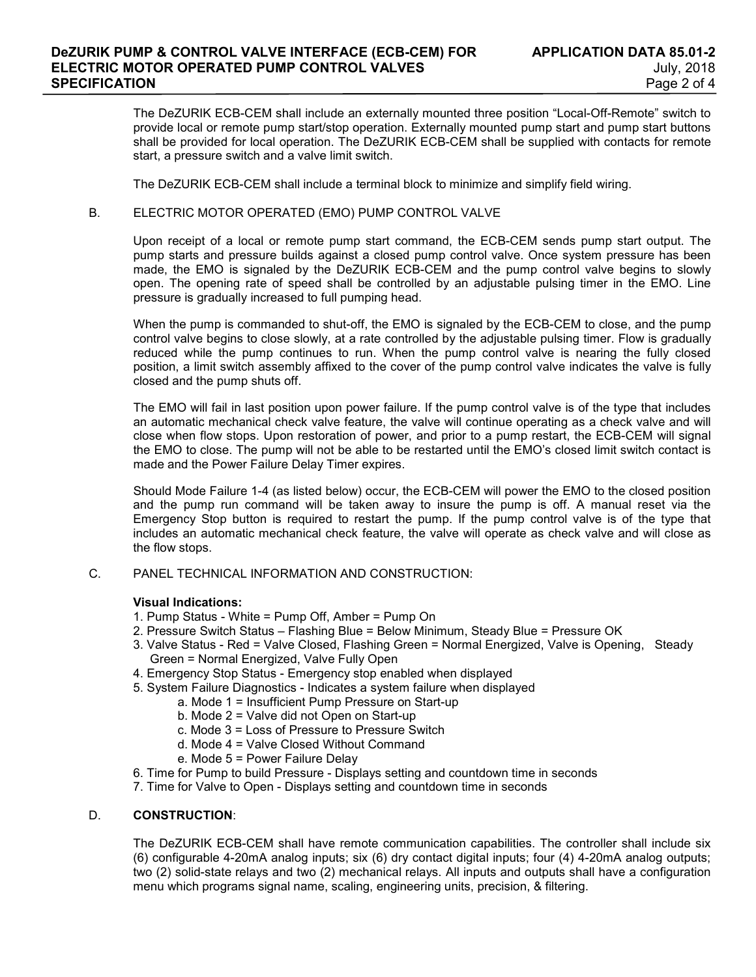The DeZURIK ECB-CEM shall include an externally mounted three position "Local-Off-Remote" switch to provide local or remote pump start/stop operation. Externally mounted pump start and pump start buttons shall be provided for local operation. The DeZURIK ECB-CEM shall be supplied with contacts for remote start, a pressure switch and a valve limit switch.

The DeZURIK ECB-CEM shall include a terminal block to minimize and simplify field wiring.

### B. ELECTRIC MOTOR OPERATED (EMO) PUMP CONTROL VALVE

Upon receipt of a local or remote pump start command, the ECB-CEM sends pump start output. The pump starts and pressure builds against a closed pump control valve. Once system pressure has been made, the EMO is signaled by the DeZURIK ECB-CEM and the pump control valve begins to slowly open. The opening rate of speed shall be controlled by an adjustable pulsing timer in the EMO. Line pressure is gradually increased to full pumping head.

When the pump is commanded to shut-off, the EMO is signaled by the ECB-CEM to close, and the pump control valve begins to close slowly, at a rate controlled by the adjustable pulsing timer. Flow is gradually reduced while the pump continues to run. When the pump control valve is nearing the fully closed position, a limit switch assembly affixed to the cover of the pump control valve indicates the valve is fully closed and the pump shuts off.

The EMO will fail in last position upon power failure. If the pump control valve is of the type that includes an automatic mechanical check valve feature, the valve will continue operating as a check valve and will close when flow stops. Upon restoration of power, and prior to a pump restart, the ECB-CEM will signal the EMO to close. The pump will not be able to be restarted until the EMO's closed limit switch contact is made and the Power Failure Delay Timer expires.

Should Mode Failure 1-4 (as listed below) occur, the ECB-CEM will power the EMO to the closed position and the pump run command will be taken away to insure the pump is off. A manual reset via the Emergency Stop button is required to restart the pump. If the pump control valve is of the type that includes an automatic mechanical check feature, the valve will operate as check valve and will close as the flow stops.

### C. PANEL TECHNICAL INFORMATION AND CONSTRUCTION:

#### **Visual Indications:**

- 1. Pump Status White = Pump Off, Amber = Pump On
- 2. Pressure Switch Status Flashing Blue = Below Minimum, Steady Blue = Pressure OK
- 3. Valve Status Red = Valve Closed, Flashing Green = Normal Energized, Valve is Opening, Steady Green = Normal Energized, Valve Fully Open
- 4. Emergency Stop Status Emergency stop enabled when displayed
- 5. System Failure Diagnostics Indicates a system failure when displayed
	- a. Mode 1 = Insufficient Pump Pressure on Start-up
	- b. Mode 2 = Valve did not Open on Start-up
	- c. Mode 3 = Loss of Pressure to Pressure Switch
	- d. Mode 4 = Valve Closed Without Command
	- e. Mode 5 = Power Failure Delay
- 6. Time for Pump to build Pressure Displays setting and countdown time in seconds
- 7. Time for Valve to Open Displays setting and countdown time in seconds

### D. **CONSTRUCTION**:

The DeZURIK ECB-CEM shall have remote communication capabilities. The controller shall include six (6) configurable 4-20mA analog inputs; six (6) dry contact digital inputs; four (4) 4-20mA analog outputs; two (2) solid-state relays and two (2) mechanical relays. All inputs and outputs shall have a configuration menu which programs signal name, scaling, engineering units, precision, & filtering.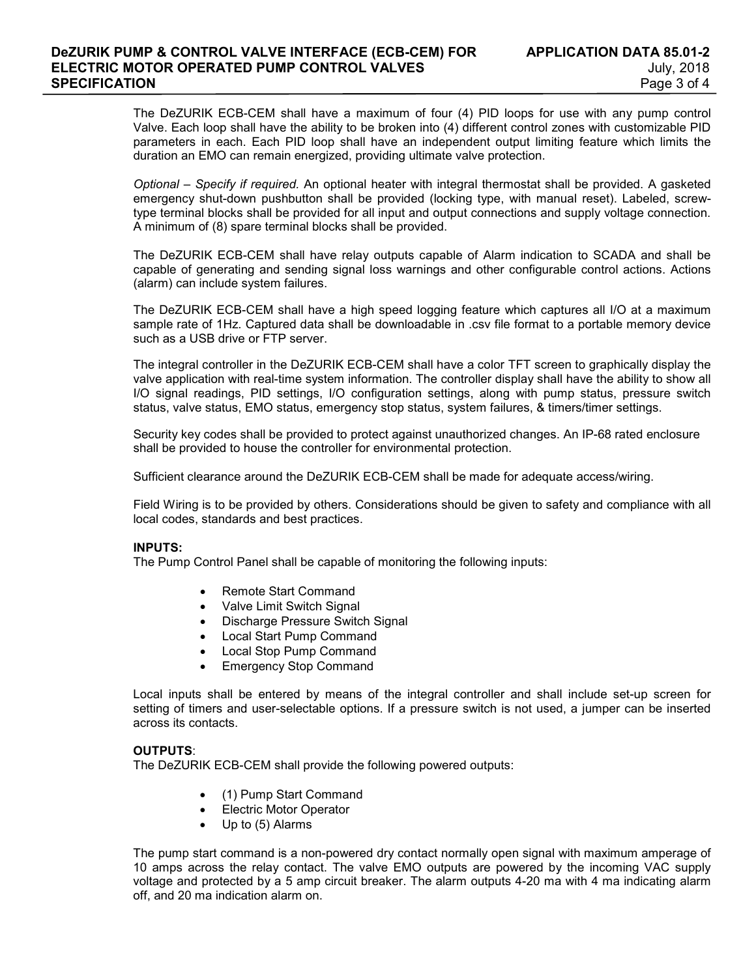The DeZURIK ECB-CEM shall have a maximum of four (4) PID loops for use with any pump control Valve. Each loop shall have the ability to be broken into (4) different control zones with customizable PID parameters in each. Each PID loop shall have an independent output limiting feature which limits the duration an EMO can remain energized, providing ultimate valve protection.

*Optional – Specify if required.* An optional heater with integral thermostat shall be provided. A gasketed emergency shut-down pushbutton shall be provided (locking type, with manual reset). Labeled, screwtype terminal blocks shall be provided for all input and output connections and supply voltage connection. A minimum of (8) spare terminal blocks shall be provided.

The DeZURIK ECB-CEM shall have relay outputs capable of Alarm indication to SCADA and shall be capable of generating and sending signal loss warnings and other configurable control actions. Actions (alarm) can include system failures.

The DeZURIK ECB-CEM shall have a high speed logging feature which captures all I/O at a maximum sample rate of 1Hz. Captured data shall be downloadable in .csv file format to a portable memory device such as a USB drive or FTP server.

The integral controller in the DeZURIK ECB-CEM shall have a color TFT screen to graphically display the valve application with real-time system information. The controller display shall have the ability to show all I/O signal readings, PID settings, I/O configuration settings, along with pump status, pressure switch status, valve status, EMO status, emergency stop status, system failures, & timers/timer settings.

Security key codes shall be provided to protect against unauthorized changes. An IP-68 rated enclosure shall be provided to house the controller for environmental protection.

Sufficient clearance around the DeZURIK ECB-CEM shall be made for adequate access/wiring.

Field Wiring is to be provided by others. Considerations should be given to safety and compliance with all local codes, standards and best practices.

### **INPUTS:**

The Pump Control Panel shall be capable of monitoring the following inputs:

- Remote Start Command
- Valve Limit Switch Signal
- Discharge Pressure Switch Signal
- Local Start Pump Command
- Local Stop Pump Command
- Emergency Stop Command

Local inputs shall be entered by means of the integral controller and shall include set-up screen for setting of timers and user-selectable options. If a pressure switch is not used, a jumper can be inserted across its contacts.

### **OUTPUTS**:

The DeZURIK ECB-CEM shall provide the following powered outputs:

- (1) Pump Start Command
- Electric Motor Operator
- Up to (5) Alarms

The pump start command is a non-powered dry contact normally open signal with maximum amperage of 10 amps across the relay contact. The valve EMO outputs are powered by the incoming VAC supply voltage and protected by a 5 amp circuit breaker. The alarm outputs 4-20 ma with 4 ma indicating alarm off, and 20 ma indication alarm on.